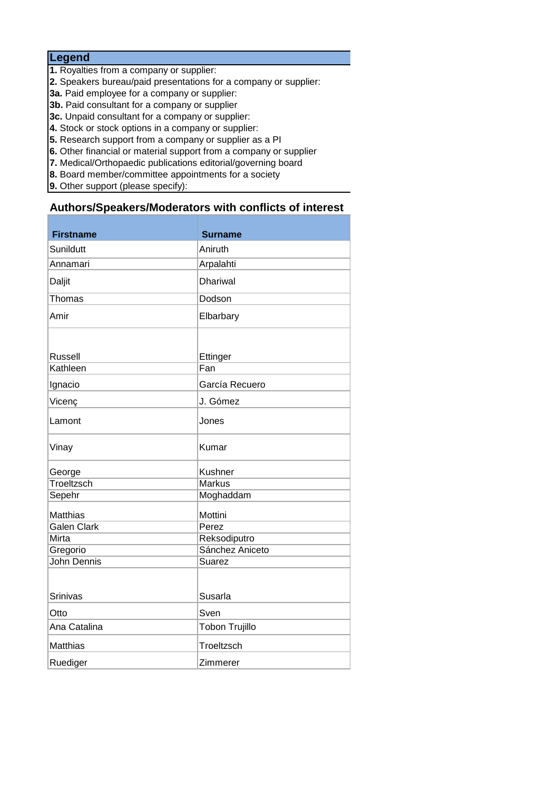## **Legend**

- **1.** Royalties from a company or supplier:
- **2.** Speakers bureau/paid presentations for a company or supplier:
- **3a.** Paid employee for a company or supplier:
- **3b.** Paid consultant for a company or supplier
- **3c.** Unpaid consultant for a company or supplier:
- **4.** Stock or stock options in a company or supplier:
- **5.** Research support from a company or supplier as a PI
- **6.** Other financial or material support from a company or supplier
- **7.** Medical/Orthopaedic publications editorial/governing board
- **8.** Board member/committee appointments for a society
- **9.** Other support (please specify):

## **Authors/Speakers/Moderators with conflicts of interest**

| <b>Firstname</b>   | <b>Surname</b>        |
|--------------------|-----------------------|
| Sunildutt          | Aniruth               |
| Annamari           | Arpalahti             |
| Daljit             | <b>Dhariwal</b>       |
| Thomas             | Dodson                |
| Amir               | Elbarbary             |
|                    |                       |
| <b>Russell</b>     | Ettinger              |
| Kathleen           | Fan                   |
| Ignacio            | García Recuero        |
| Vicenç             | J. Gómez              |
| Lamont             | Jones                 |
| Vinay              | Kumar                 |
| George             | Kushner               |
| Troeltzsch         | <b>Markus</b>         |
| Sepehr             | Moghaddam             |
| Matthias           | Mottini               |
| <b>Galen Clark</b> | Perez                 |
| Mirta              | Reksodiputro          |
| Gregorio           | Sánchez Aniceto       |
| <b>John Dennis</b> | Suarez                |
| <b>Srinivas</b>    | Susarla               |
| Otto               | Sven                  |
| Ana Catalina       | <b>Tobon Trujillo</b> |
| Matthias           | Troeltzsch            |
| Ruediger           | Zimmerer              |